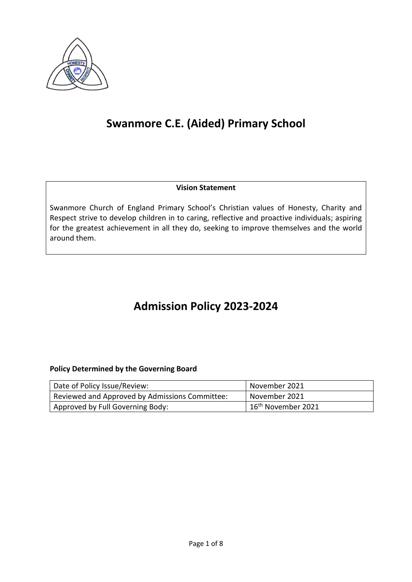

# **Swanmore C.E. (Aided) Primary School**

#### **Vision Statement**

Swanmore Church of England Primary School's Christian values of Honesty, Charity and Respect strive to develop children in to caring, reflective and proactive individuals; aspiring for the greatest achievement in all they do, seeking to improve themselves and the world around them.

## **Admission Policy 2023-2024**

#### **Policy Determined by the Governing Board**

| Date of Policy Issue/Review:                   | November 2021                    |
|------------------------------------------------|----------------------------------|
| Reviewed and Approved by Admissions Committee: | November 2021                    |
| Approved by Full Governing Body:               | 1 16 <sup>th</sup> November 2021 |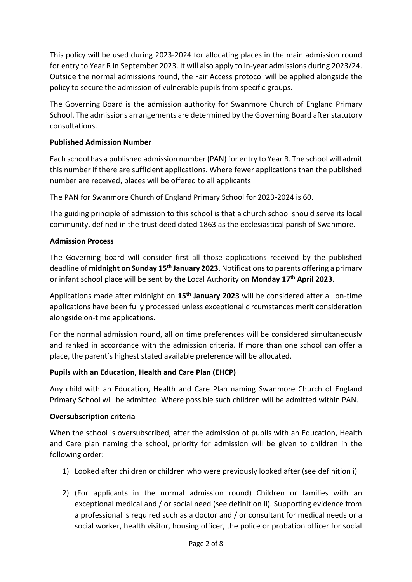This policy will be used during 2023-2024 for allocating places in the main admission round for entry to Year R in September 2023. It will also apply to in-year admissions during 2023/24. Outside the normal admissions round, the Fair Access protocol will be applied alongside the policy to secure the admission of vulnerable pupils from specific groups.

The Governing Board is the admission authority for Swanmore Church of England Primary School. The admissions arrangements are determined by the Governing Board after statutory consultations.

#### **Published Admission Number**

Each school has a published admission number (PAN) for entry to Year R. The school will admit this number if there are sufficient applications. Where fewer applications than the published number are received, places will be offered to all applicants

The PAN for Swanmore Church of England Primary School for 2023-2024 is 60.

The guiding principle of admission to this school is that a church school should serve its local community, defined in the trust deed dated 1863 as the ecclesiastical parish of Swanmore.

#### **Admission Process**

The Governing board will consider first all those applications received by the published deadline of **midnight on Sunday 15 th January 2023.** Notifications to parents offering a primary or infant school place will be sent by the Local Authority on **Monday 17 th April 2023.**

Applications made after midnight on **15 th January 2023** will be considered after all on-time applications have been fully processed unless exceptional circumstances merit consideration alongside on-time applications.

For the normal admission round, all on time preferences will be considered simultaneously and ranked in accordance with the admission criteria. If more than one school can offer a place, the parent's highest stated available preference will be allocated.

#### **Pupils with an Education, Health and Care Plan (EHCP)**

Any child with an Education, Health and Care Plan naming Swanmore Church of England Primary School will be admitted. Where possible such children will be admitted within PAN.

#### **Oversubscription criteria**

When the school is oversubscribed, after the admission of pupils with an Education, Health and Care plan naming the school, priority for admission will be given to children in the following order:

- 1) Looked after children or children who were previously looked after (see definition i)
- 2) (For applicants in the normal admission round) Children or families with an exceptional medical and / or social need (see definition ii). Supporting evidence from a professional is required such as a doctor and / or consultant for medical needs or a social worker, health visitor, housing officer, the police or probation officer for social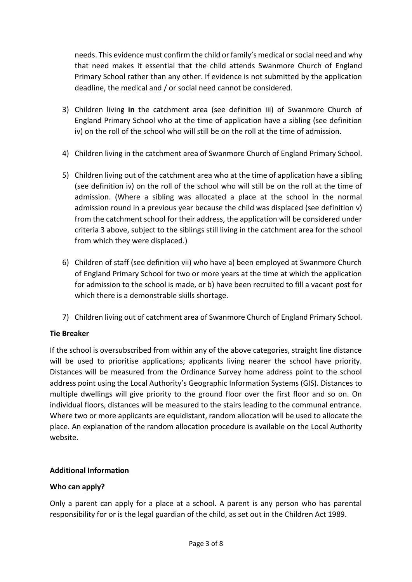needs. This evidence must confirm the child or family's medical or social need and why that need makes it essential that the child attends Swanmore Church of England Primary School rather than any other. If evidence is not submitted by the application deadline, the medical and / or social need cannot be considered.

- 3) Children living **in** the catchment area (see definition iii) of Swanmore Church of England Primary School who at the time of application have a sibling (see definition iv) on the roll of the school who will still be on the roll at the time of admission.
- 4) Children living in the catchment area of Swanmore Church of England Primary School.
- 5) Children living out of the catchment area who at the time of application have a sibling (see definition iv) on the roll of the school who will still be on the roll at the time of admission. (Where a sibling was allocated a place at the school in the normal admission round in a previous year because the child was displaced (see definition v) from the catchment school for their address, the application will be considered under criteria 3 above, subject to the siblings still living in the catchment area for the school from which they were displaced.)
- 6) Children of staff (see definition vii) who have a) been employed at Swanmore Church of England Primary School for two or more years at the time at which the application for admission to the school is made, or b) have been recruited to fill a vacant post for which there is a demonstrable skills shortage.
- 7) Children living out of catchment area of Swanmore Church of England Primary School.

## **Tie Breaker**

If the school is oversubscribed from within any of the above categories, straight line distance will be used to prioritise applications; applicants living nearer the school have priority. Distances will be measured from the Ordinance Survey home address point to the school address point using the Local Authority's Geographic Information Systems (GIS). Distances to multiple dwellings will give priority to the ground floor over the first floor and so on. On individual floors, distances will be measured to the stairs leading to the communal entrance. Where two or more applicants are equidistant, random allocation will be used to allocate the place. An explanation of the random allocation procedure is available on the Local Authority website.

## **Additional Information**

## **Who can apply?**

Only a parent can apply for a place at a school. A parent is any person who has parental responsibility for or is the legal guardian of the child, as set out in the Children Act 1989.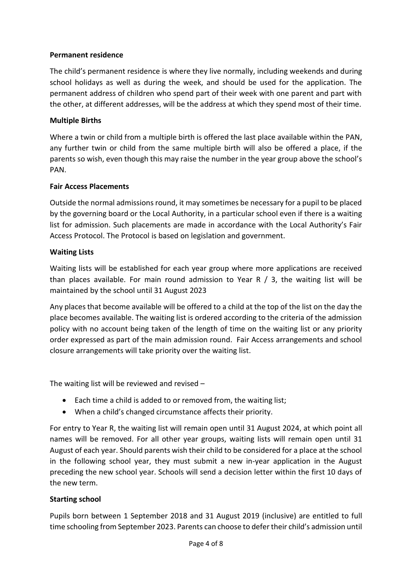#### **Permanent residence**

The child's permanent residence is where they live normally, including weekends and during school holidays as well as during the week, and should be used for the application. The permanent address of children who spend part of their week with one parent and part with the other, at different addresses, will be the address at which they spend most of their time.

#### **Multiple Births**

Where a twin or child from a multiple birth is offered the last place available within the PAN, any further twin or child from the same multiple birth will also be offered a place, if the parents so wish, even though this may raise the number in the year group above the school's PAN.

#### **Fair Access Placements**

Outside the normal admissions round, it may sometimes be necessary for a pupil to be placed by the governing board or the Local Authority, in a particular school even if there is a waiting list for admission. Such placements are made in accordance with the Local Authority's Fair Access Protocol. The Protocol is based on legislation and government.

#### **Waiting Lists**

Waiting lists will be established for each year group where more applications are received than places available. For main round admission to Year R  $/$  3, the waiting list will be maintained by the school until 31 August 2023

Any places that become available will be offered to a child at the top of the list on the day the place becomes available. The waiting list is ordered according to the criteria of the admission policy with no account being taken of the length of time on the waiting list or any priority order expressed as part of the main admission round. Fair Access arrangements and school closure arrangements will take priority over the waiting list.

The waiting list will be reviewed and revised –

- Each time a child is added to or removed from, the waiting list;
- When a child's changed circumstance affects their priority.

For entry to Year R, the waiting list will remain open until 31 August 2024, at which point all names will be removed. For all other year groups, waiting lists will remain open until 31 August of each year. Should parents wish their child to be considered for a place at the school in the following school year, they must submit a new in-year application in the August preceding the new school year. Schools will send a decision letter within the first 10 days of the new term.

#### **Starting school**

Pupils born between 1 September 2018 and 31 August 2019 (inclusive) are entitled to full time schooling from September 2023. Parents can choose to defer their child's admission until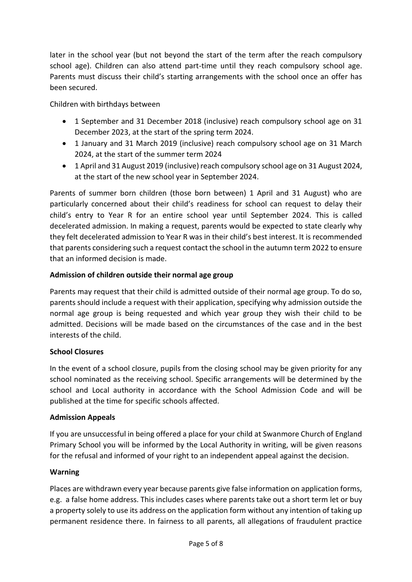later in the school year (but not beyond the start of the term after the reach compulsory school age). Children can also attend part-time until they reach compulsory school age. Parents must discuss their child's starting arrangements with the school once an offer has been secured.

Children with birthdays between

- 1 September and 31 December 2018 (inclusive) reach compulsory school age on 31 December 2023, at the start of the spring term 2024.
- 1 January and 31 March 2019 (inclusive) reach compulsory school age on 31 March 2024, at the start of the summer term 2024
- 1 April and 31 August 2019 (inclusive) reach compulsory school age on 31 August 2024, at the start of the new school year in September 2024.

Parents of summer born children (those born between) 1 April and 31 August) who are particularly concerned about their child's readiness for school can request to delay their child's entry to Year R for an entire school year until September 2024. This is called decelerated admission. In making a request, parents would be expected to state clearly why they felt decelerated admission to Year R was in their child's best interest. It is recommended that parents considering such a request contact the school in the autumn term 2022 to ensure that an informed decision is made.

## **Admission of children outside their normal age group**

Parents may request that their child is admitted outside of their normal age group. To do so, parents should include a request with their application, specifying why admission outside the normal age group is being requested and which year group they wish their child to be admitted. Decisions will be made based on the circumstances of the case and in the best interests of the child.

## **School Closures**

In the event of a school closure, pupils from the closing school may be given priority for any school nominated as the receiving school. Specific arrangements will be determined by the school and Local authority in accordance with the School Admission Code and will be published at the time for specific schools affected.

## **Admission Appeals**

If you are unsuccessful in being offered a place for your child at Swanmore Church of England Primary School you will be informed by the Local Authority in writing, will be given reasons for the refusal and informed of your right to an independent appeal against the decision.

## **Warning**

Places are withdrawn every year because parents give false information on application forms, e.g. a false home address. This includes cases where parents take out a short term let or buy a property solely to use its address on the application form without any intention of taking up permanent residence there. In fairness to all parents, all allegations of fraudulent practice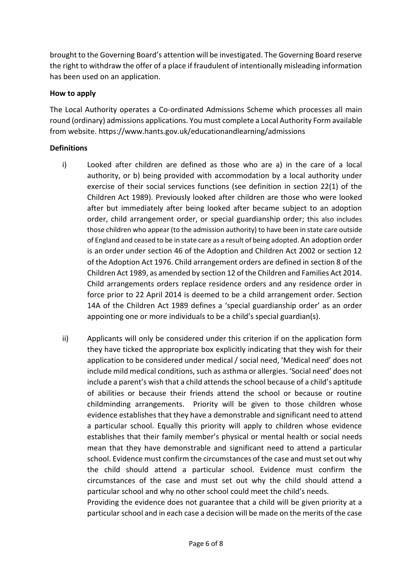brought to the Governing Board's attention will be investigated. The Governing Board reserve the right to withdraw the offer of a place if fraudulent of intentionally misleading information has been used on an application.

#### **How to apply**

The Local Authority operates a Co-ordinated Admissions Scheme which processes all main round (ordinary) admissions applications. You must complete a Local Authority Form available from website. https://www.hants.gov.uk/educationandlearning/admissions

#### **Definitions**

- i) Looked after children are defined as those who are a) in the care of a local authority, or b) being provided with accommodation by a local authority under exercise of their social services functions (see definition in section 22(1) of the Children Act 1989). Previously looked after children are those who were looked after but immediately after being looked after became subject to an adoption order, child arrangement order, or special guardianship order; this also includes those children who appear (to the admission authority) to have been in state care outside of England and ceased to be in state care as a result of being adopted. An adoption order is an order under section 46 of the Adoption and Children Act 2002 or section 12 of the Adoption Act 1976. Child arrangement orders are defined in section 8 of the Children Act 1989, as amended by section 12 of the Children and Families Act 2014. Child arrangements orders replace residence orders and any residence order in force prior to 22 April 2014 is deemed to be a child arrangement order. Section 14A of the Children Act 1989 defines a 'special guardianship order' as an order appointing one or more individuals to be a child's special guardian(s).
- ii) Applicants will only be considered under this criterion if on the application form they have ticked the appropriate box explicitly indicating that they wish for their application to be considered under medical / social need, 'Medical need' does not include mild medical conditions, such as asthma or allergies. 'Social need' does not include a parent's wish that a child attends the school because of a child's aptitude of abilities or because their friends attend the school or because or routine childminding arrangements. Priority will be given to those children whose evidence establishes that they have a demonstrable and significant need to attend a particular school. Equally this priority will apply to children whose evidence establishes that their family member's physical or mental health or social needs mean that they have demonstrable and significant need to attend a particular school. Evidence must confirm the circumstances of the case and must set out why the child should attend a particular school. Evidence must confirm the circumstances of the case and must set out why the child should attend a particular school and why no other school could meet the child's needs.

Providing the evidence does not guarantee that a child will be given priority at a particular school and in each case a decision will be made on the merits of the case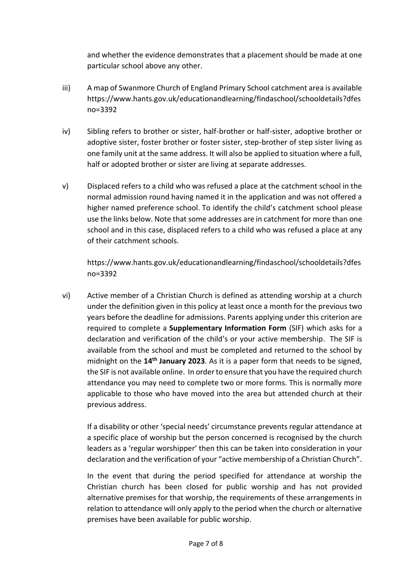and whether the evidence demonstrates that a placement should be made at one particular school above any other.

- iii) A map of Swanmore Church of England Primary School catchment area is available https://www.hants.gov.uk/educationandlearning/findaschool/schooldetails?dfes no=3392
- iv) Sibling refers to brother or sister, half-brother or half-sister, adoptive brother or adoptive sister, foster brother or foster sister, step-brother of step sister living as one family unit at the same address. It will also be applied to situation where a full, half or adopted brother or sister are living at separate addresses.
- v) Displaced refers to a child who was refused a place at the catchment school in the normal admission round having named it in the application and was not offered a higher named preference school. To identify the child's catchment school please use the links below. Note that some addresses are in catchment for more than one school and in this case, displaced refers to a child who was refused a place at any of their catchment schools.

https://www.hants.gov.uk/educationandlearning/findaschool/schooldetails?dfes no=3392

vi) Active member of a Christian Church is defined as attending worship at a church under the definition given in this policy at least once a month for the previous two years before the deadline for admissions. Parents applying under this criterion are required to complete a **Supplementary Information Form** (SIF) which asks for a declaration and verification of the child's or your active membership. The SIF is available from the school and must be completed and returned to the school by midnight on the 14<sup>th</sup> January 2023. As it is a paper form that needs to be signed, the SIF is not available online. In order to ensure that you have the required church attendance you may need to complete two or more forms. This is normally more applicable to those who have moved into the area but attended church at their previous address.

If a disability or other 'special needs' circumstance prevents regular attendance at a specific place of worship but the person concerned is recognised by the church leaders as a 'regular worshipper' then this can be taken into consideration in your declaration and the verification of your "active membership of a Christian Church".

In the event that during the period specified for attendance at worship the Christian church has been closed for public worship and has not provided alternative premises for that worship, the requirements of these arrangements in relation to attendance will only apply to the period when the church or alternative premises have been available for public worship.